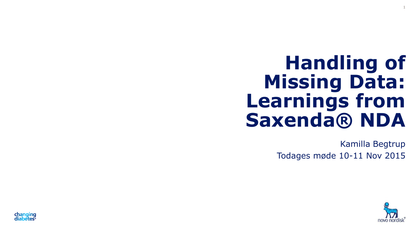# **Handling of Missing Data: Learnings from Saxenda® NDA**

Kamilla Begtrup Todages møde 10-11 Nov 2015



1

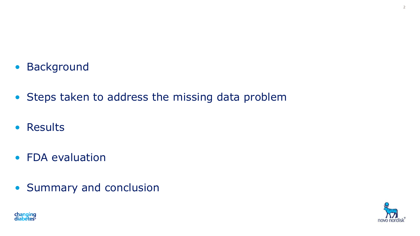- Background
- Steps taken to address the missing data problem
- Results
- FDA evaluation
- Summary and conclusion



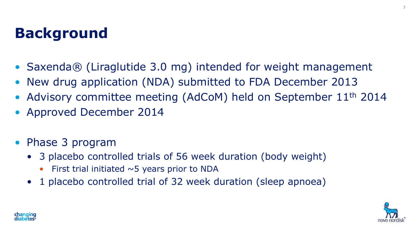### **Background**

- Saxenda® (Liraglutide 3.0 mg) intended for weight management
- New drug application (NDA) submitted to FDA December 2013
- Advisory committee meeting (AdCoM) held on September 11<sup>th</sup> 2014
- Approved December 2014
- Phase 3 program
	- 3 placebo controlled trials of 56 week duration (body weight)
		- First trial initiated  $\sim$  5 years prior to NDA
	- 1 placebo controlled trial of 32 week duration (sleep apnoea)



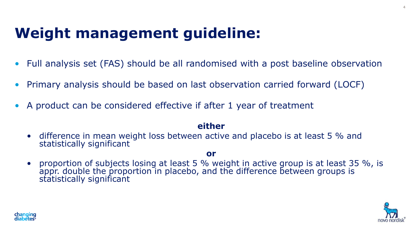### **Weight management guideline:**

- Full analysis set (FAS) should be all randomised with a post baseline observation
- Primary analysis should be based on last observation carried forward (LOCF)
- A product can be considered effective if after 1 year of treatment

#### **either**

• difference in mean weight loss between active and placebo is at least 5 % and statistically significant

#### **or**

• proportion of subjects losing at least 5 % weight in active group is at least 35 %, is appr. double the proportion in placebo, and the difference between groups is statistically significant



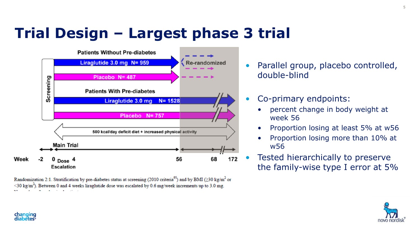# **Trial Design – Largest phase 3 trial**



Randomization 2:1. Stratification by pre-diabetes status at screening (2010 criteria<sup>95</sup>) and by BMI (230 kg/m<sup>2</sup> or  $\leq$ 30 kg/m<sup>2</sup>). Between 0 and 4 weeks liraglutide dose was escalated by 0.6 mg/week increments up to 3.0 mg.

- Parallel group, placebo controlled, double-blind
- Co-primary endpoints:
	- percent change in body weight at week 56
	- Proportion losing at least 5% at w56
	- Proportion losing more than 10% at w56
- Tested hierarchically to preserve the family-wise type I error at 5%

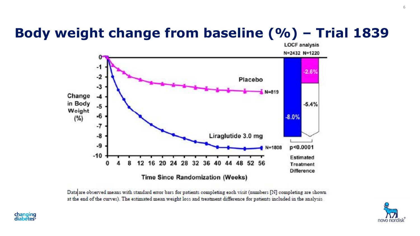### **Body weight change from baseline (%) – Trial 1839**



Data are observed means with standard error bars for patients completing each visit (numbers [N] completing are shown at the end of the curves). The estimated mean weight loss and treatment difference for patients included in the analysis



changing<br>diabetes<sup>®</sup>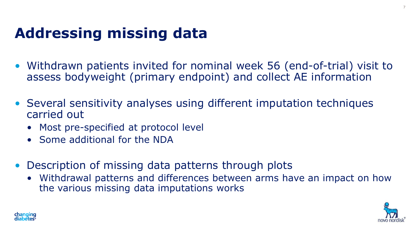# **Addressing missing data**

- Withdrawn patients invited for nominal week 56 (end-of-trial) visit to assess bodyweight (primary endpoint) and collect AE information
- Several sensitivity analyses using different imputation techniques carried out
	- Most pre-specified at protocol level
	- Some additional for the NDA
- Description of missing data patterns through plots
	- Withdrawal patterns and differences between arms have an impact on how the various missing data imputations works



7

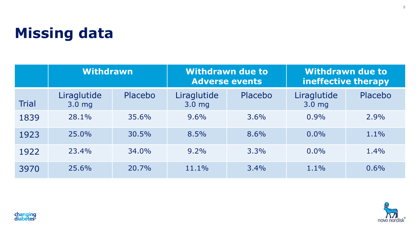## **Missing data**

|              | <b>Withdrawn</b>                 |         | <b>Withdrawn due to</b><br><b>Adverse events</b> |         | <b>Withdrawn due to</b><br>ineffective therapy |         |
|--------------|----------------------------------|---------|--------------------------------------------------|---------|------------------------------------------------|---------|
| <b>Trial</b> | Liraglutide<br>3.0 <sub>mg</sub> | Placebo | Liraglutide<br>3.0 <sub>mg</sub>                 | Placebo | Liraglutide<br>$3.0$ mg                        | Placebo |
| 1839         | 28.1%                            | 35.6%   | 9.6%                                             | 3.6%    | 0.9%                                           | 2.9%    |
| 1923         | 25.0%                            | 30.5%   | 8.5%                                             | 8.6%    | 0.0%                                           | 1.1%    |
| 1922         | 23.4%                            | 34.0%   | 9.2%                                             | 3.3%    | $0.0\%$                                        | 1.4%    |
| 3970         | 25.6%                            | 20.7%   | 11.1%                                            | 3.4%    | 1.1%                                           | 0.6%    |



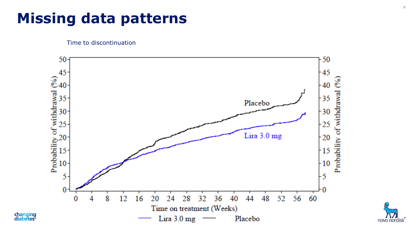### **Missing data patterns**

Time to discontinuation

changing<br>diabetes<sup>®</sup>



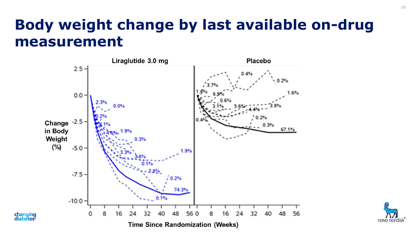### **Body weight change by last available on-drug measurement**



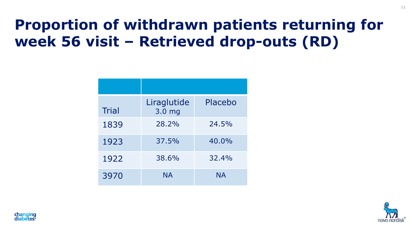# **Proportion of withdrawn patients returning for week 56 visit – Retrieved drop-outs (RD)**

| <b>Trial</b> | Liraglutide<br>3.0 <sub>mg</sub> | Placebo   |
|--------------|----------------------------------|-----------|
| 1839         | 28.2%                            | 24.5%     |
| 1923         | 37.5%                            | 40.0%     |
| 1922         | 38.6%                            | 32.4%     |
| 3970         | <b>NA</b>                        | <b>NA</b> |



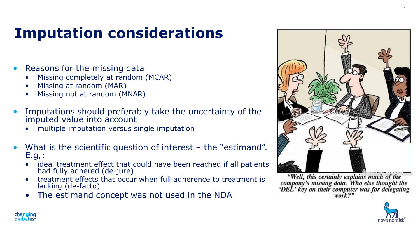# **Imputation considerations**

- Reasons for the missing data
	- Missing completely at random (MCAR)
	- Missing at random (MAR)
	- Missing not at random (MNAR)
- Imputations should preferably take the uncertainty of the imputed value into account
	- multiple imputation versus single imputation
- What is the scientific question of interest the "estimand". E.g,:
	- ideal treatment effect that could have been reached if all patients had fully adhered (de-jure)
	- treatment effects that occur when full adherence to treatment is lacking (de-facto)
	- The estimand concept was not used in the NDA



"Well, this certainly explains much of the company's missing data. Who else thought the 'DEL' key on their computer was for delegating

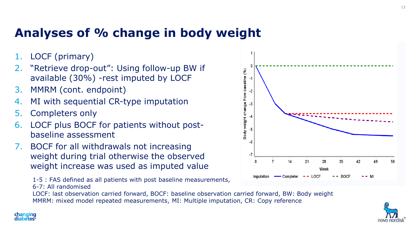### **Analyses of % change in body weight**

- LOCF (primary)
- 2. "Retrieve drop-out": Using follow-up BW if available (30%) -rest imputed by LOCF
- 3. MMRM (cont. endpoint)
- MI with sequential CR-type imputation
- 5. Completers only
- 6. LOCF plus BOCF for patients without postbaseline assessment
- 7. BOCF for all withdrawals not increasing weight during trial otherwise the observed weight increase was used as imputed value

1-5 : FAS defined as all patients with post baseline measurements, 6-7: All randomised

LOCF: last observation carried forward, BOCF: baseline observation carried forward, BW: Body weight MMRM: mixed model repeated measurements, MI: Multiple imputation, CR: Copy reference



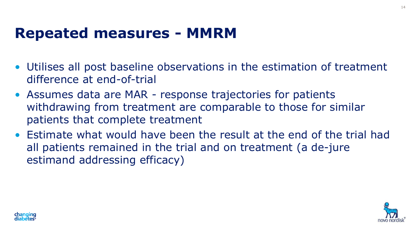### **Repeated measures - MMRM**

- Utilises all post baseline observations in the estimation of treatment difference at end-of-trial
- Assumes data are MAR response trajectories for patients withdrawing from treatment are comparable to those for similar patients that complete treatment
- Estimate what would have been the result at the end of the trial had all patients remained in the trial and on treatment (a de-jure estimand addressing efficacy)



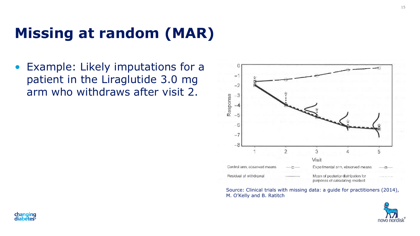### **Missing at random (MAR)**

• Example: Likely imputations for a patient in the Liraglutide 3.0 mg arm who withdraws after visit 2.



Source: Clinical trials with missing data: a guide for practitioners (2014), M. O'Kelly and B. Ratitch

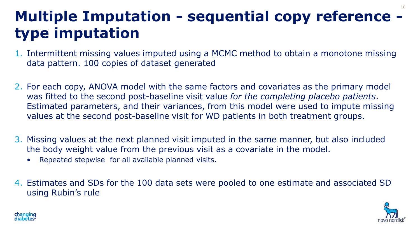### **Multiple Imputation - sequential copy reference type imputation** 16

- 1. Intermittent missing values imputed using a MCMC method to obtain a monotone missing data pattern. 100 copies of dataset generated
- 2. For each copy, ANOVA model with the same factors and covariates as the primary model was fitted to the second post-baseline visit value *for the completing placebo patients*. Estimated parameters, and their variances, from this model were used to impute missing values at the second post-baseline visit for WD patients in both treatment groups.
- 3. Missing values at the next planned visit imputed in the same manner, but also included the body weight value from the previous visit as a covariate in the model.
	- Repeated stepwise for all available planned visits.
- 4. Estimates and SDs for the 100 data sets were pooled to one estimate and associated SD using Rubin's rule



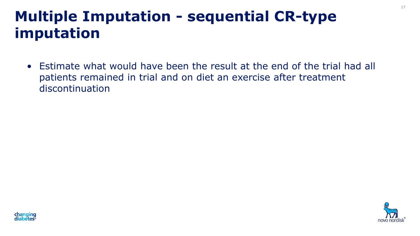### **Multiple Imputation - sequential CR-type imputation**

• Estimate what would have been the result at the end of the trial had all patients remained in trial and on diet an exercise after treatment discontinuation

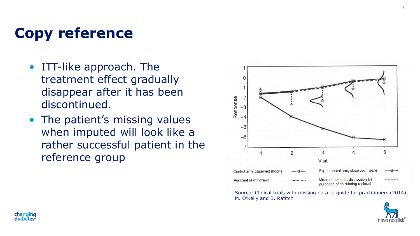## **Copy reference**

- ITT-like approach. The treatment effect gradually disappear after it has been discontinued.
- The patient's missing values when imputed will look like a rather successful patient in the reference group



Source: Clinical trials with missing data: a guide for practitioners (2014), M. O'Kelly and B. Ratitch

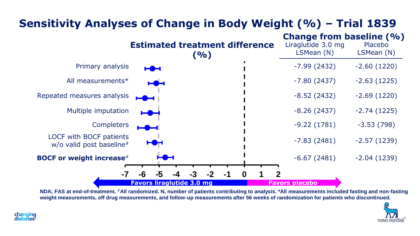### **Sensitivity Analyses of Change in Body Weight (%) – Trial 1839**



**NDA; FAS at end-of-treatment.** #**All randomized. N, number of patients contributing to analysis. \*All measurements included fasting and non-fasting weight measurements, off drug measurements, and follow-up measurements after 56 weeks of randomization for patients who discontinued.** 

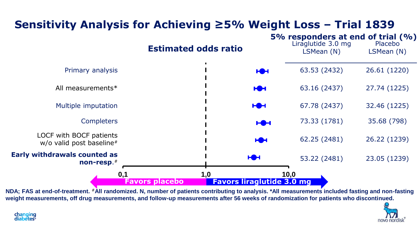### **Sensitivity Analysis for Achieving ≥5% Weight Loss – Trial 1839**



**NDA; FAS at end-of-treatment.** #**All randomized. N, number of patients contributing to analysis. \*All measurements included fasting and non-fasting weight measurements, off drug measurements, and follow-up measurements after 56 weeks of randomization for patients who discontinued.**

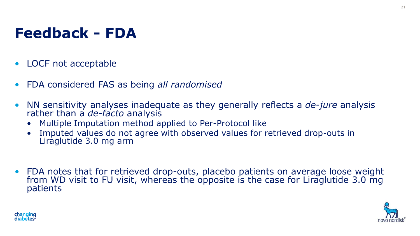# **Feedback - FDA**

- LOCF not acceptable
- FDA considered FAS as being *all randomised*
- NN sensitivity analyses inadequate as they generally reflects a *de-jure* analysis rather than a *de-facto* analysis
	- Multiple Imputation method applied to Per-Protocol like
	- Imputed values do not agree with observed values for retrieved drop-outs in Liraglutide 3.0 mg arm
- FDA notes that for retrieved drop-outs, placebo patients on average loose weight from WD visit to FU visit, whereas the opposite is the case for Liraglutide 3.0 mg patients



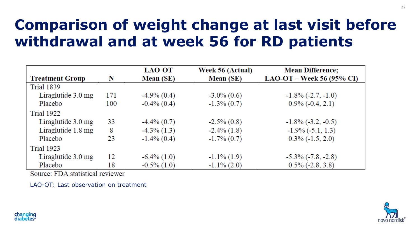# **Comparison of weight change at last visit before withdrawal and at week 56 for RD patients**

|                              |     | LAO-OT           | Week 56 (Actual) | <b>Mean Difference;</b>     |
|------------------------------|-----|------------------|------------------|-----------------------------|
| <b>Treatment Group</b>       | N   | <b>Mean</b> (SE) | <b>Mean</b> (SE) | $LAO-OT - Week 56 (95% CI)$ |
| <b>Trial 1839</b>            |     |                  |                  |                             |
| Liraglutide $3.0 \text{ mg}$ | 171 | $-4.9\%$ (0.4)   | $-3.0\%$ (0.6)   | $-1.8\%$ ( $-2.7, -1.0$ )   |
| Placebo                      | 100 | $-0.4\%$ (0.4)   | $-1.3\%$ (0.7)   | $0.9\%$ (-0.4, 2.1)         |
| <b>Trial 1922</b>            |     |                  |                  |                             |
| Liraglutide $3.0 \text{ mg}$ | 33  | $-4.4\%$ (0.7)   | $-2.5\%$ $(0.8)$ | $-1.8\%$ ( $-3.2, -0.5$ )   |
| Liraglutide 1.8 mg           | 8   | $-4.3\%$ (1.3)   | $-2.4\%$ $(1.8)$ | $-1.9\%$ ( $-5.1, 1.3$ )    |
| Placebo                      | 23  | $-1.4\%$ (0.4)   | $-1.7\%$ (0.7)   | $0.3\%$ (-1.5, 2.0)         |
| <b>Trial 1923</b>            |     |                  |                  |                             |
| Liraglutide $3.0 \text{ mg}$ | 12  | $-6.4\%$ $(1.0)$ | $-1.1\%$ (1.9)   | $-5.3\%$ ( $-7.8, -2.8$ )   |
| Placebo                      | 18  | $-0.5\%$ (1.0)   | $-1.1\%$ (2.0)   | $0.5\%$ (-2.8, 3.8)         |

Source: FDA statistical reviewer

LAO-OT: Last observation on treatment

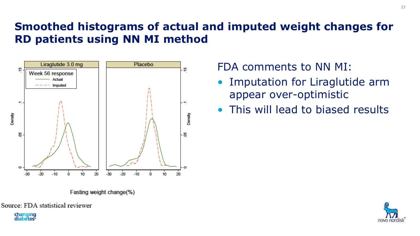### **Smoothed histograms of actual and imputed weight changes for RD patients using NN MI method**



Fasting weight change(%)

Source: FDA statistical reviewer

**changing**<br>diabetes

#### FDA comments to NN MI:

- Imputation for Liraglutide arm appear over-optimistic
- This will lead to biased results

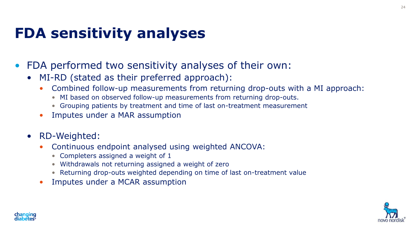### **FDA sensitivity analyses**

- FDA performed two sensitivity analyses of their own:
	- MI-RD (stated as their preferred approach):
		- Combined follow-up measurements from returning drop-outs with a MI approach:
			- MI based on observed follow-up measurements from returning drop-outs.
			- Grouping patients by treatment and time of last on-treatment measurement
		- Imputes under a MAR assumption
	- RD-Weighted:
		- Continuous endpoint analysed using weighted ANCOVA:
			- Completers assigned a weight of 1
			- Withdrawals not returning assigned a weight of zero
			- Returning drop-outs weighted depending on time of last on-treatment value
		- Imputes under a MCAR assumption



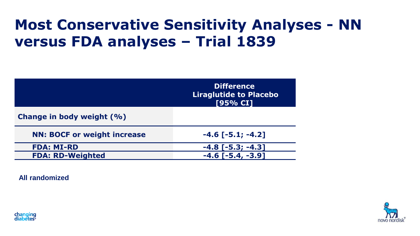### **Most Conservative Sensitivity Analyses - NN versus FDA analyses – Trial 1839**

|                                    | <b>Difference</b><br><b>Liraglutide to Placebo</b><br>[95% CI] |
|------------------------------------|----------------------------------------------------------------|
| Change in body weight (%)          |                                                                |
| <b>NN: BOCF or weight increase</b> | $-4.6$ [ $-5.1; -4.2$ ]                                        |
| <b>FDA: MI-RD</b>                  | $-4.8$ [ $-5.3$ ; $-4.3$ ]                                     |
| <b>FDA: RD-Weighted</b>            | $-3.91$                                                        |

**All randomized**



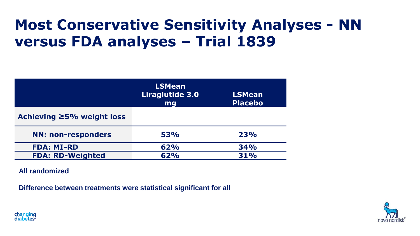### **Most Conservative Sensitivity Analyses - NN versus FDA analyses – Trial 1839**

|                           | <b>LSMean</b><br>Liraglutide 3.0<br>mg | <b>LSMean</b><br><b>Placebo</b> |
|---------------------------|----------------------------------------|---------------------------------|
| Achieving ≥5% weight loss |                                        |                                 |
| <b>NN: non-responders</b> | 53%                                    | 23%                             |
| <b>FDA: MI-RD</b>         | 62%                                    | <b>34%</b>                      |
| <b>FDA: RD-Weighted</b>   | 62%                                    | <b>31%</b>                      |

**All randomized**

**Difference between treatments were statistical significant for all**



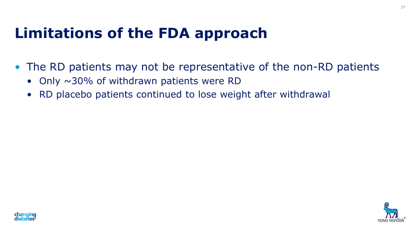### **Limitations of the FDA approach**

- The RD patients may not be representative of the non-RD patients
	- Only  $\sim$ 30% of withdrawn patients were RD
	- RD placebo patients continued to lose weight after withdrawal